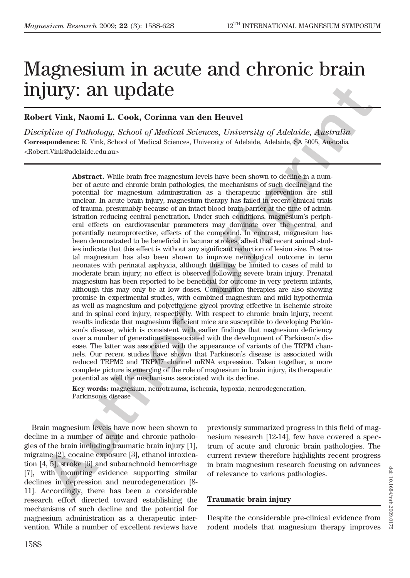# Magnesium in acute and chronic brain injury: an update

## Robert Vink, Naomi L. Cook, Corinna van den Heuvel

Discipline of Pathology, School of Medical Sciences, University of Adelaide, Australia Correspondence: R. Vink, School of Medical Sciences, University of Adelaide, Adelaide, SA 5005, Australia <Robert.Vink@adelaide.edu.au>

**Abstract.** While brain free magnesium levels have been shown to decline in a number of acute and chronic brain pathologies, the mechanisms of such decline and the potential for magnesium administration as a therapeutic intervention are still unclear. In acute brain injury, magnesium therapy has failed in recent clinical trials of trauma, presumably because of an intact blood brain barrier at the time of administration reducing central penetration. Under such conditions, magnesium's peripheral effects on cardiovascular parameters may dominate over the central, and potentially neuroprotective, effects of the compound. In contrast, magnesium has been demonstrated to be beneficial in lacunar strokes, albeit that recent animal studies indicate that this effect is without any significant reduction of lesion size. Postnatal magnesium has also been shown to improve neurological outcome in term neonates with perinatal asphyxia, although this may be limited to cases of mild to moderate brain injury; no effect is observed following severe brain injury. Prenatal magnesium has been reported to be beneficial for outcome in very preterm infants, although this may only be at low doses. Combination therapies are also showing promise in experimental studies, with combined magnesium and mild hypothermia as well as magnesium and polyethylene glycol proving effective in ischemic stroke and in spinal cord injury, respectively. With respect to chronic brain injury, recent results indicate that magnesium deficient mice are susceptible to developing Parkinson's disease, which is consistent with earlier findings that magnesium deficiency over a number of generations is associated with the development of Parkinson's disease. The latter was associated with the appearance of variants of the TRPM channels. Our recent studies have shown that Parkinson's disease is associated with reduced TRPM2 and TRPM7 channel mRNA expression. Taken together, a more complete picture is emerging of the role of magnesium in brain injury, its therapeutic potential as well the mechanisms associated with its decline. **JUITY: An upddate**<br>
ert Vink, Naoni L. Cook, Corinna van den Heuvel<br>
eigriptine of Pathology, School of Medical Sciences, University of Adelaide, Australia<br>
expendence it Vink School of Medical Sciences, University of Ad

Key words: magnesium, neurotrauma, ischemia, hypoxia, neurodegeneration, Parkinson's disease

Brain magnesium levels have now been shown to decline in a number of acute and chronic pathologies of the brain including traumatic brain injury [1], migraine [2], cocaine exposure [3], ethanol intoxication [4, 5], stroke [6] and subarachnoid hemorrhage [7], with mounting evidence supporting similar declines in depression and neurodegeneration [8- 11]. Accordingly, there has been a considerable research effort directed toward establishing the mechanisms of such decline and the potential for magnesium administration as a therapeutic intervention. While a number of excellent reviews have previously summarized progress in this field of magnesium research [12-14], few have covered a spectrum of acute and chronic brain pathologies. The current review therefore highlights recent progress in brain magnesium research focusing on advances of relevance to various pathologies.

#### Traumatic brain injury

Despite the considerable pre-clinical evidence from rodent models that magnesium therapy improves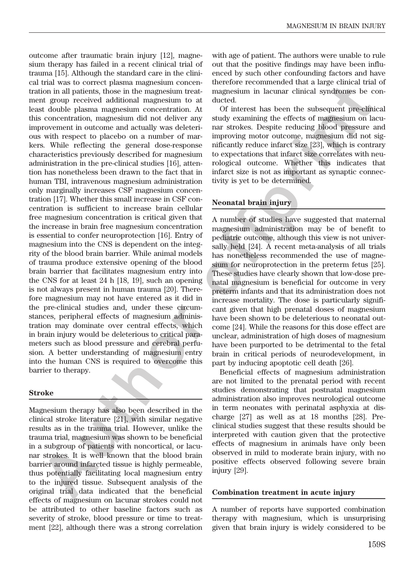outcome after traumatic brain injury [12], magnesium therapy has failed in a recent clinical trial of trauma [15]. Although the standard care in the clinical trial was to correct plasma magnesium concentration in all patients, those in the magnesium treatment group received additional magnesium to at least double plasma magnesium concentration. At this concentration, magnesium did not deliver any improvement in outcome and actually was deleterious with respect to placebo on a number of markers. While reflecting the general dose-response characteristics previously described for magnesium administration in the pre-clinical studies [16], attention has nonetheless been drawn to the fact that in human TBI, intravenous magnesium administration only marginally increases CSF magnesium concentration [17]. Whether this small increase in CSF concentration is sufficient to increase brain cellular free magnesium concentration is critical given that the increase in brain free magnesium concentration is essential to confer neuroprotection [16]. Entry of magnesium into the CNS is dependent on the integrity of the blood brain barrier. While animal models of trauma produce extensive opening of the blood brain barrier that facilitates magnesium entry into the CNS for at least 24 h [18, 19], such an opening is not always present in human trauma [20]. Therefore magnesium may not have entered as it did in the pre-clinical studies and, under these circumstances, peripheral effects of magnesium administration may dominate over central effects, which in brain injury would be deleterious to critical parameters such as blood pressure and cerebral perfusion. A better understanding of magnesium entry into the human CNS is required to overcome this barrier to therapy. Low the label density of the box and proporation of the mean-momentum and angle than a single term of the label density and the single term of the single term of the single term of the single term of the single term of th

#### Stroke

Magnesium therapy has also been described in the clinical stroke literature [21], with similar negative results as in the trauma trial. However, unlike the trauma trial, magnesium was shown to be beneficial in a subgroup of patients with noncortical, or lacunar strokes. It is well known that the blood brain barrier around infarcted tissue is highly permeable, thus potentially facilitating local magnesium entry to the injured tissue. Subsequent analysis of the original trial data indicated that the beneficial effects of magnesium on lacunar strokes could not be attributed to other baseline factors such as severity of stroke, blood pressure or time to treatment [22], although there was a strong correlation

with age of patient. The authors were unable to rule out that the positive findings may have been influenced by such other confounding factors and have therefore recommended that a large clinical trial of magnesium in lacunar clinical syndromes be conducted.

Of interest has been the subsequent pre-clinical study examining the effects of magnesium on lacunar strokes. Despite reducing blood pressure and improving motor outcome, magnesium did not significantly reduce infarct size [23], which is contrary to expectations that infarct size correlates with neurological outcome. Whether this indicates that infarct size is not as important as synaptic connectivity is yet to be determined.

## Neonatal brain injury

A number of studies have suggested that maternal magnesium administration may be of benefit to pediatric outcome, although this view is not universally held [24]. A recent meta-analysis of all trials has nonetheless recommended the use of magnesium for neuroprotection in the preterm fetus [25]. These studies have clearly shown that low-dose prenatal magnesium is beneficial for outcome in very preterm infants and that its administration does not increase mortality. The dose is particularly significant given that high prenatal doses of magnesium have been shown to be deleterious to neonatal outcome [24]. While the reasons for this dose effect are unclear, administration of high doses of magnesium have been purported to be detrimental to the fetal brain in critical periods of neurodevelopment, in part by inducing apoptotic cell death [26].

Beneficial effects of magnesium administration are not limited to the prenatal period with recent studies demonstrating that postnatal magnesium administration also improves neurological outcome in term neonates with perinatal asphyxia at discharge [27] as well as at 18 months [28]. Preclinical studies suggest that these results should be interpreted with caution given that the protective effects of magnesium in animals have only been observed in mild to moderate brain injury, with no positive effects observed following severe brain injury [29].

#### Combination treatment in acute injury

A number of reports have supported combination therapy with magnesium, which is unsurprising given that brain injury is widely considered to be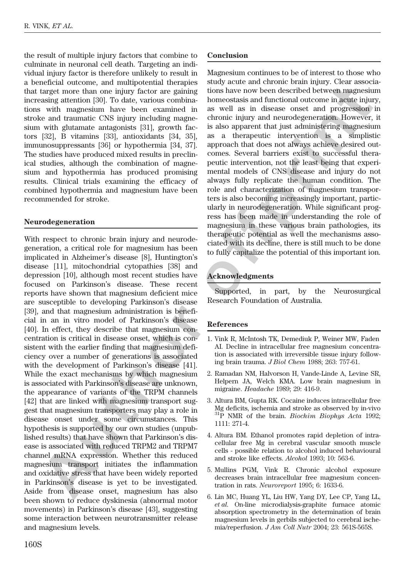the result of multiple injury factors that combine to culminate in neuronal cell death. Targeting an individual injury factor is therefore unlikely to result in a beneficial outcome, and multipotential therapies that target more than one injury factor are gaining increasing attention [30]. To date, various combinations with magnesium have been examined in stroke and traumatic CNS injury including magnesium with glutamate antagonists [31], growth factors [32], B vitamins [33], antioxidants [34, 35], immunosuppressants [36] or hypothermia [34, 37]. The studies have produced mixed results in preclinical studies, although the combination of magnesium and hypothermia has produced promising results. Clinical trials examining the efficacy of combined hypothermia and magnesium have been recommended for stroke.

#### Neurodegeneration

With respect to chronic brain injury and neurodegeneration, a critical role for magnesium has been implicated in Alzheimer's disease [8], Huntington's disease [11], mitochondrial cytopathies [38] and depression [10], although most recent studies have focused on Parkinson's disease. These recent reports have shown that magnesium deficient mice are susceptible to developing Parkinson's disease [39], and that magnesium administration is beneficial in an in vitro model of Parkinson's disease [40]. In effect, they describe that magnesium concentration is critical in disease onset, which is consistent with the earlier finding that magnesium deficiency over a number of generations is associated with the development of Parkinson's disease [41]. While the exact mechanisms by which magnesium is associated with Parkinson's disease are unknown, the appearance of variants of the TRPM channels [42] that are linked with magnesium transport suggest that magnesium transporters may play a role in disease onset under some circumstances. This hypothesis is supported by our own studies (unpublished results) that have shown that Parkinson's disease is associated with reduced TRPM2 and TRPM7 channel mRNA expression. Whether this reduced magnesium transport initiates the inflammation and oxidative stress that have been widely reported in Parkinson's disease is yet to be investigated. Aside from disease onset, magnesium has also been shown to reduce dyskinesia (abnormal motor movements) in Parkinson's disease [43], suggesting some interaction between neurotransmitter release and magnesium levels. tence toon that, one monophotomal resources are equilibrium in the new hore described between magnesium and the most control in the new space of the most control in the space of the most control in the space of the most c

Magnesium continues to be of interest to those who study acute and chronic brain injury. Clear associations have now been described between magnesium homeostasis and functional outcome in acute injury, as well as in disease onset and progression in chronic injury and neurodegeneration. However, it is also apparent that just administering magnesium as a therapeutic intervention is a simplistic approach that does not always achieve desired outcomes. Several barriers exist to successful therapeutic intervention, not the least being that experimental models of CNS disease and injury do not always fully replicate the human condition. The role and characterization of magnesium transporters is also becoming increasingly important, particularly in neurodegeneration. While significant progress has been made in understanding the role of magnesium in these various brain pathologies, its therapeutic potential as well the mechanisms associated with its decline, there is still much to be done to fully capitalize the potential of this important ion.

## Acknowledgments

Supported, in part, by the Neurosurgical Research Foundation of Australia.

#### References

- 1. Vink R, McIntosh TK, Demediuk P, Weiner MW, Faden AI. Decline in intracellular free magnesium concentration is associated with irreversible tissue injury following brain trauma. J Biol Chem 1988; 263: 757-61.
- 2. Ramadan NM, Halvorson H, Vande-Linde A, Levine SR, Helpern JA, Welch KMA. Low brain magnesium in migraine. Headache 1989; 29: 416-9.
- 3. Altura BM, Gupta RK. Cocaine induces intracellular free Mg deficits, ischemia and stroke as observed by in-vivo  $31P$  NMR of the brain. *Biochim Biophys Acta* 1992; 1111: 271-4.
- 4. Altura BM. Ethanol promotes rapid depletion of intracellular free Mg in cerebral vascular smooth muscle cells - possible relation to alcohol induced behavioural and stroke like effects. Alcohol 1993; 10: 563-6.
- 5. Mullins PGM, Vink R. Chronic alcohol exposure decreases brain intracellular free magnesium concentration in rats. Neuroreport 1995; 6: 1633-6.
- 6. Lin MC, Huang YL, Liu HW, Yang DY, Lee CP, Yang LL, et al. On-line microdialysis-graphite furnace atomic absorption spectrometry in the determination of brain magnesium levels in gerbils subjected to cerebral ischemia/reperfusion. J Am Coll Nutr 2004; 23: 561S-565S.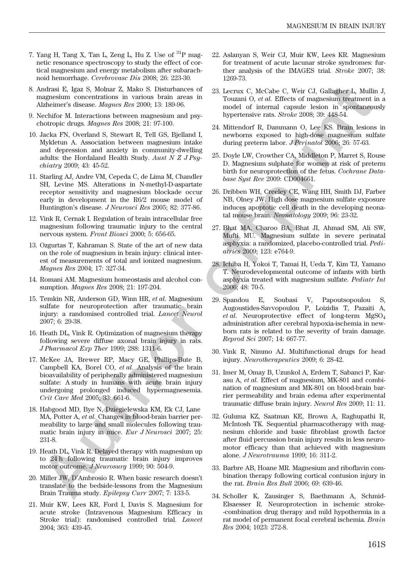- 7. Yang H, Tang X, Tan L, Zeng L, Hu Z. Use of  ${}^{31}P$  magnetic resonance spectroscopy to study the effect of cortical magnesium and energy metabolism after subarachnoid hemorrhage. Cerebrovasc Dis 2008; 26: 223-30.
- 8. Andrasi E, Igaz S, Molnar Z, Mako S. Disturbances of magnesium concentrations in various brain areas in Alzheimer's disease. Magnes Res 2000; 13: 189-96.
- 9. Nechifor M. Interactions between magnesium and psychotropic drugs. Magnes Res 2008; 21: 97-100.
- 10. Jacka FN, Overland S, Stewart R, Tell GS, Bjelland I, Mykletun A. Association between magnesium intake and depression and anxiety in community-dwelling adults: the Hordaland Health Study. Aust N Z J Psychiatry 2009; 43: 45-52.
- 11. Starling AJ, Andre VM, Cepeda C, de Lima M, Chandler SH, Levine MS. Alterations in N-methyl-D-aspartate receptor sensitivity and magnesium blockade occur early in development in the R6/2 mouse model of Huntington's disease. J Neurosci Res 2005; 82: 377-86.
- 12. Vink R, Cernak I. Regulation of brain intracellular free magnesium following traumatic injury to the central nervous system. Front Biosci 2000; 5: 656-65.
- 13. Ozgurtas T, Kahraman S. State of the art of new data on the role of magnesium in brain injury: clinical interest of measurements of total and ionized magnesium. Magnes Res 2004; 17: 327-34.
- 14. Romani AM. Magnesium homeostasis and alcohol consumption. Magnes Res 2008; 21: 197-204.
- 15. Temkin NR, Anderson GD, Winn HR, et al. Magnesium sulfate for neuroprotection after traumatic brain injury: a randomised controlled trial. Lancet Neurol 2007; 6: 29-38.
- 16. Heath DL, Vink R. Optimization of magnesium therapy following severe diffuse axonal brain injury in rats. J Pharmacol Exp Ther 1999; 288: 1311-6.
- 17. McKee JA, Brewer RP, Macy GE, Phillips-Bute B, Campbell KA, Borel CO, et al. Analysis of the brain bioavailability of peripherally administered magnesium sulfate: A study in humans with acute brain injury undergoing prolonged induced hypermagnesemia. Crit Care Med 2005; 33: 661-6. Author's R, bylones S, Model S, Distatements of a 25 keener C, Model C, Weigh C, Weigh C, Weigh C, Weigh C, Weigh C, Weigh C, Weigh C, Weigh C, Weigh C, Weight (1, Clause and the street of the street of the street of the
- 18. Habgood MD, Bye N, Dziegielewska KM, Ek CJ, Lane MA, Potter A, et al. Changes in blood-brain barrier permeability to large and small molecules following traumatic brain injury in mice. Eur J Neurosci 2007; 25: 231-8.
- 19. Heath DL, Vink R. Delayed therapy with magnesium up to 24 h following traumatic brain injury improves motor outcome. J Neurosurg 1999; 90: 504-9.
- 20. Miller JW, D'Ambrosio R. When basic research doesn't translate to the bedside-lessons from the Magnesium Brain Trauma study. Epilepsy Curr 2007; 7: 133-5.
- 21. Muir KW, Lees KR, Ford I, Davis S. Magnesium for acute stroke (Intravenous Magnesium Efficacy in Stroke trial): randomised controlled trial. Lancet 2004; 363: 439-45.
- 22. Aslanyan S, Weir CJ, Muir KW, Lees KR. Magnesium for treatment of acute lacunar stroke syndromes: further analysis of the IMAGES trial. Stroke 2007; 38: 1269-73.
- 23. Lecrux C, McCabe C, Weir CJ, Gallagher L, Mullin J, Touzani O, et al. Effects of magnesium treatment in a model of internal capsule lesion in spontaneously hypertensive rats. Stroke 2008; 39: 448-54.
- 24. Mittendorf R, Dammann O, Lee KS. Brain lesions in newborns exposed to high-dose magnesium sulfate during preterm labor. J Perinatol 2006; 26: 57-63.
- 25. Doyle LW, Crowther CA, Middleton P, Marret S, Rouse D. Magnesium sulphate for women at risk of preterm birth for neuroprotection of the fetus. Cochrane Database Syst Rev 2009: CD004661.
- 26. Dribben WH, Creeley CE, Wang HH, Smith DJ, Farber NB, Olney JW. High dose magnesium sulfate exposure induces apoptotic cell death in the developing neonatal mouse brain. Neonatology 2009; 96: 23-32.
- 27. Bhat MA, Charoo BA, Bhat JI, Ahmad SM, Ali SW, Mufti MU. Magnesium sulfate in severe perinatal asphyxia: a randomized, placebo-controlled trial. Pediatrics 2009; 123: e764-9.
- 28. Ichiba H, Yokoi T, Tamai H, Ueda T, Kim TJ, Yamano T. Neurodevelopmental outcome of infants with birth asphyxia treated with magnesium sulfate. Pediatr Int 2006; 48: 70-5.
- 29. Spandou E, Soubasi V, Papoutsopoulou S, Augoustides-Savvopoulou P, Loizidis T, Pazaiti A, *et al.* Neuroprotective effect of long-term  $MgSO<sub>4</sub>$ administration after cerebral hypoxia-ischemia in newborn rats is related to the severity of brain damage. Reprod Sci 2007; 14: 667-77.
- 30. Vink R, Nimmo AJ. Multifunctional drugs for head injury. Neurotherapeutics 2009; 6: 28-42.
- 31. Imer M, Omay B, Uzunkol A, Erdem T, Sabanci P, Karasu A, et al. Effect of magnesium, MK-801 and combination of magnesium and MK-801 on blood-brain barrier permeability and brain edema after experimental traumatic diffuse brain injury. Neurol Res 2009; 11: 11.
- 32. Guluma KZ, Saatman KE, Brown A, Raghupathi R, McIntosh TK. Sequential pharmacotherapy with magnesium chloride and basic fibroblast growth factor after fluid percussion brain injury results in less neuromotor efficacy than that achieved with magnesium alone. J Neurotrauma 1999; 16: 311-2.
- 33. Barbre AB, Hoane MR. Magnesium and riboflavin combination therapy following cortical contusion injury in the rat. Brain Res Bull 2006; 69: 639-46.
- 34. Scholler K, Zausinger S, Baethmann A, Schmid-Elsaesser R. Neuroprotection in ischemic stroke- -combination drug therapy and mild hypothermia in a rat model of permanent focal cerebral ischemia. Brain Res 2004; 1023: 272-8.